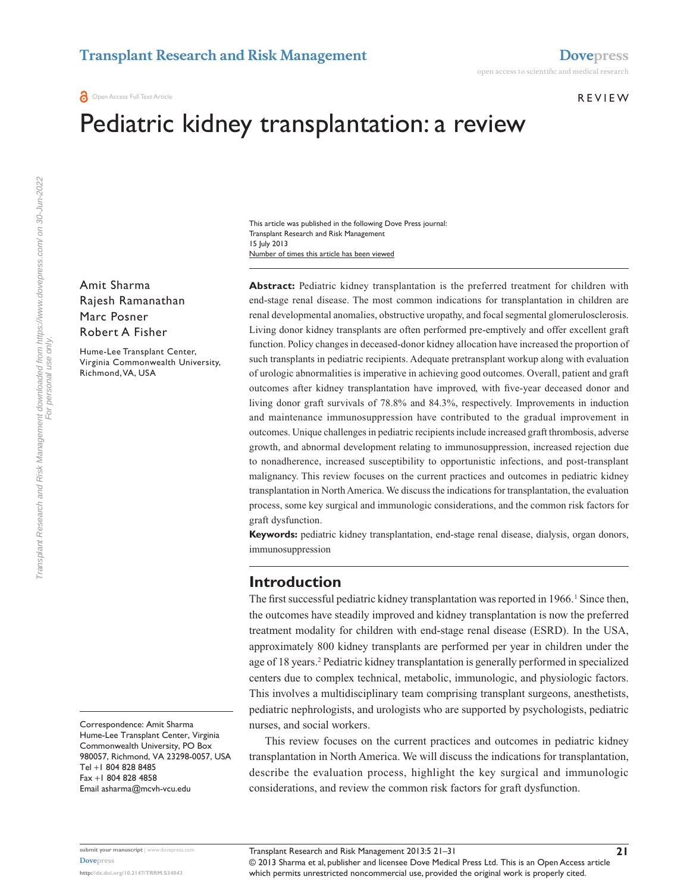**a** Open Access Full Text Article

#### **REVIEW**

**21**

# Pediatric kidney transplantation: a review

Number of times this article has been viewed This article was published in the following Dove Press journal: Transplant Research and Risk Management 15 July 2013

Amit Sharma Rajesh Ramanathan Marc Posner Robert A Fisher

Hume-Lee Transplant Center, Virginia Commonwealth University, Richmond, VA, USA

Correspondence: Amit Sharma Hume-Lee Transplant Center, Virginia Commonwealth University, PO Box 980057, Richmond, VA 23298-0057, USA Tel +1 804 828 8485 Fax +1 804 828 4858 Email [asharma@mcvh-vcu.edu](mailto:asharma@mcvh-vcu.edu)

**Abstract:** Pediatric kidney transplantation is the preferred treatment for children with end-stage renal disease. The most common indications for transplantation in children are renal developmental anomalies, obstructive uropathy, and focal segmental glomerulosclerosis. Living donor kidney transplants are often performed pre-emptively and offer excellent graft function. Policy changes in deceased-donor kidney allocation have increased the proportion of such transplants in pediatric recipients. Adequate pretransplant workup along with evaluation of urologic abnormalities is imperative in achieving good outcomes. Overall, patient and graft outcomes after kidney transplantation have improved, with five-year deceased donor and living donor graft survivals of 78.8% and 84.3%, respectively. Improvements in induction and maintenance immunosuppression have contributed to the gradual improvement in outcomes. Unique challenges in pediatric recipients include increased graft thrombosis, adverse growth, and abnormal development relating to immunosuppression, increased rejection due to nonadherence, increased susceptibility to opportunistic infections, and post-transplant malignancy. This review focuses on the current practices and outcomes in pediatric kidney transplantation in North America. We discuss the indications for transplantation, the evaluation process, some key surgical and immunologic considerations, and the common risk factors for graft dysfunction.

**Keywords:** pediatric kidney transplantation, end-stage renal disease, dialysis, organ donors, immunosuppression

## **Introduction**

The first successful pediatric kidney transplantation was reported in 1966.<sup>1</sup> Since then, the outcomes have steadily improved and kidney transplantation is now the preferred treatment modality for children with end-stage renal disease (ESRD). In the USA, approximately 800 kidney transplants are performed per year in children under the age of 18 years.<sup>2</sup> Pediatric kidney transplantation is generally performed in specialized centers due to complex technical, metabolic, immunologic, and physiologic factors. This involves a multidisciplinary team comprising transplant surgeons, anesthetists, pediatric nephrologists, and urologists who are supported by psychologists, pediatric nurses, and social workers.

This review focuses on the current practices and outcomes in pediatric kidney transplantation in North America. We will discuss the indications for transplantation, describe the evaluation process, highlight the key surgical and immunologic considerations, and review the common risk factors for graft dysfunction.

**submit your manuscript** | <www.dovepress.com> **[Dovepress](www.dovepress.com)**

© 2013 Sharma et al, publisher and licensee Dove Medical Press Ltd. This is an Open Access article which permits unrestricted noncommercial use, provided the original work is properly cited.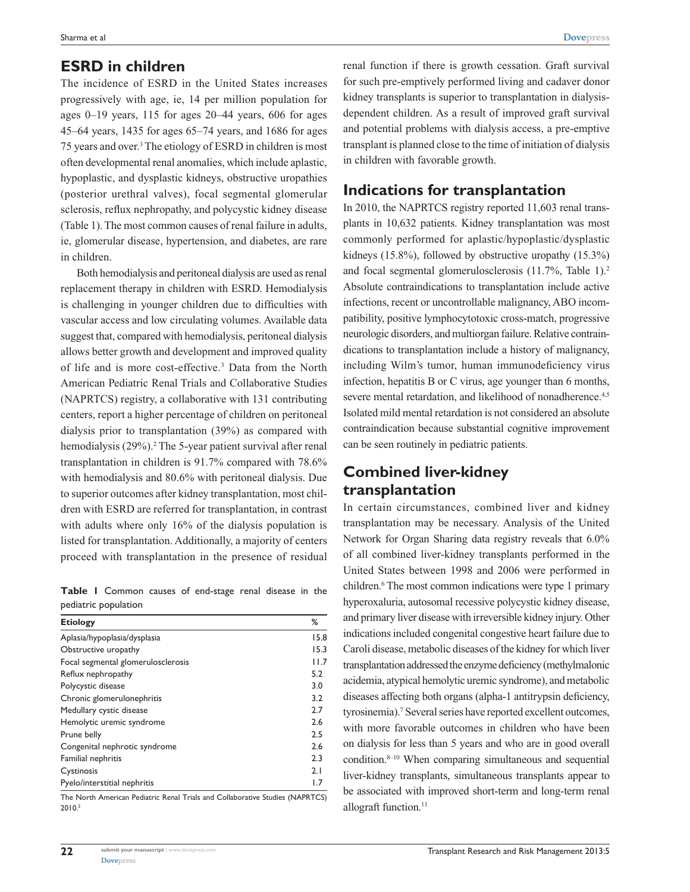# **ESRD in children**

The incidence of ESRD in the United States increases progressively with age, ie, 14 per million population for ages 0–19 years, 115 for ages 20–44 years, 606 for ages 45–64 years, 1435 for ages 65–74 years, and 1686 for ages 75 years and over.3 The etiology of ESRD in children is most often developmental renal anomalies, which include aplastic, hypoplastic, and dysplastic kidneys, obstructive uropathies (posterior urethral valves), focal segmental glomerular sclerosis, reflux nephropathy, and polycystic kidney disease (Table 1). The most common causes of renal failure in adults, ie, glomerular disease, hypertension, and diabetes, are rare in children.

Both hemodialysis and peritoneal dialysis are used as renal replacement therapy in children with ESRD. Hemodialysis is challenging in younger children due to difficulties with vascular access and low circulating volumes. Available data suggest that, compared with hemodialysis, peritoneal dialysis allows better growth and development and improved quality of life and is more cost-effective.3 Data from the North American Pediatric Renal Trials and Collaborative Studies (NAPRTCS) registry, a collaborative with 131 contributing centers, report a higher percentage of children on peritoneal dialysis prior to transplantation (39%) as compared with hemodialysis (29%).<sup>2</sup> The 5-year patient survival after renal transplantation in children is 91.7% compared with 78.6% with hemodialysis and 80.6% with peritoneal dialysis. Due to superior outcomes after kidney transplantation, most children with ESRD are referred for transplantation, in contrast with adults where only 16% of the dialysis population is listed for transplantation. Additionally, a majority of centers proceed with transplantation in the presence of residual

**Table 1** Common causes of end-stage renal disease in the pediatric population

| <b>Etiology</b>                    | ℅    |
|------------------------------------|------|
| Aplasia/hypoplasia/dysplasia       | 15.8 |
| Obstructive uropathy               | 15.3 |
| Focal segmental glomerulosclerosis | 11.7 |
| Reflux nephropathy                 | 5.2  |
| Polycystic disease                 | 3.0  |
| Chronic glomerulonephritis         | 3.2  |
| Medullary cystic disease           | 2.7  |
| Hemolytic uremic syndrome          | 2.6  |
| Prune belly                        | 2.5  |
| Congenital nephrotic syndrome      | 2.6  |
| Familial nephritis                 | 2.3  |
| Cystinosis                         | 2.1  |
| Pyelo/interstitial nephritis       | 1.7  |

The North American Pediatric Renal Trials and Collaborative Studies (NAPRTCS) 2010.2

renal function if there is growth cessation. Graft survival for such pre-emptively performed living and cadaver donor kidney transplants is superior to transplantation in dialysisdependent children. As a result of improved graft survival and potential problems with dialysis access, a pre-emptive transplant is planned close to the time of initiation of dialysis in children with favorable growth.

## **Indications for transplantation**

In 2010, the NAPRTCS registry reported 11,603 renal transplants in 10,632 patients. Kidney transplantation was most commonly performed for aplastic/hypoplastic/dysplastic kidneys (15.8%), followed by obstructive uropathy (15.3%) and focal segmental glomerulosclerosis (11.7%, Table 1).2 Absolute contraindications to transplantation include active infections, recent or uncontrollable malignancy, ABO incompatibility, positive lymphocytotoxic cross-match, progressive neurologic disorders, and multiorgan failure. Relative contraindications to transplantation include a history of malignancy, including Wilm's tumor, human immunodeficiency virus infection, hepatitis B or C virus, age younger than 6 months, severe mental retardation, and likelihood of nonadherence.<sup>4,5</sup> Isolated mild mental retardation is not considered an absolute contraindication because substantial cognitive improvement can be seen routinely in pediatric patients.

# **Combined liver-kidney transplantation**

In certain circumstances, combined liver and kidney transplantation may be necessary. Analysis of the United Network for Organ Sharing data registry reveals that 6.0% of all combined liver-kidney transplants performed in the United States between 1998 and 2006 were performed in children.<sup>6</sup> The most common indications were type 1 primary hyperoxaluria, autosomal recessive polycystic kidney disease, and primary liver disease with irreversible kidney injury. Other indications included congenital congestive heart failure due to Caroli disease, metabolic diseases of the kidney for which liver transplantation addressed the enzyme deficiency (methylmalonic acidemia, atypical hemolytic uremic syndrome), and metabolic diseases affecting both organs (alpha-1 antitrypsin deficiency, tyrosinemia).<sup>7</sup> Several series have reported excellent outcomes, with more favorable outcomes in children who have been on dialysis for less than 5 years and who are in good overall condition. $8-10$  When comparing simultaneous and sequential liver-kidney transplants, simultaneous transplants appear to be associated with improved short-term and long-term renal allograft function.<sup>11</sup>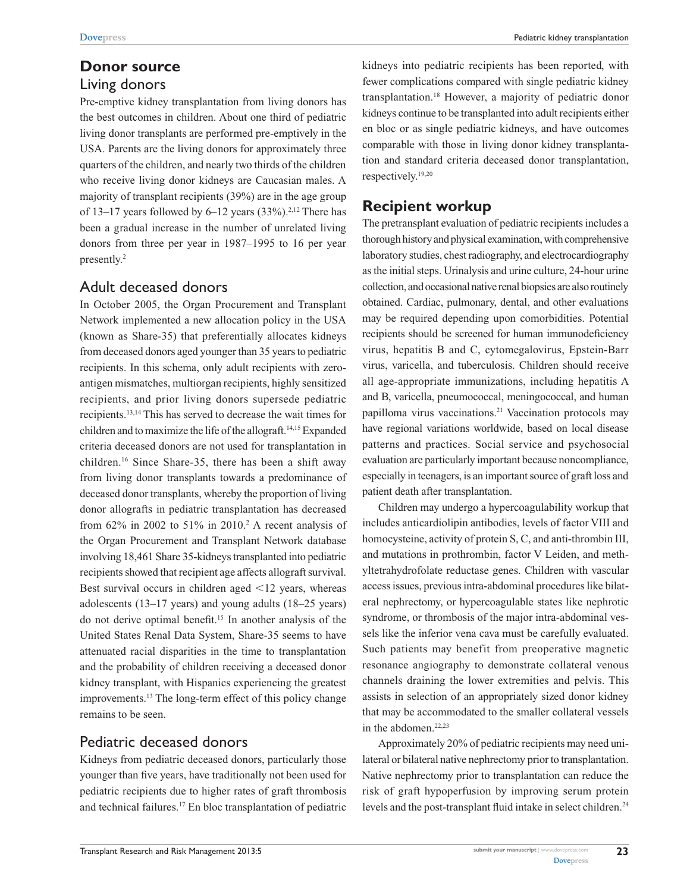Pre-emptive kidney transplantation from living donors has the best outcomes in children. About one third of pediatric living donor transplants are performed pre-emptively in the USA. Parents are the living donors for approximately three quarters of the children, and nearly two thirds of the children who receive living donor kidneys are Caucasian males. A majority of transplant recipients (39%) are in the age group of 13–17 years followed by 6–12 years  $(33\%)$ .<sup>2,12</sup> There has been a gradual increase in the number of unrelated living donors from three per year in 1987–1995 to 16 per year presently.<sup>2</sup>

# Adult deceased donors

In October 2005, the Organ Procurement and Transplant Network implemented a new allocation policy in the USA (known as Share-35) that preferentially allocates kidneys from deceased donors aged younger than 35 years to pediatric recipients. In this schema, only adult recipients with zeroantigen mismatches, multiorgan recipients, highly sensitized recipients, and prior living donors supersede pediatric recipients.13,14 This has served to decrease the wait times for children and to maximize the life of the allograft.<sup>14,15</sup> Expanded criteria deceased donors are not used for transplantation in children.16 Since Share-35, there has been a shift away from living donor transplants towards a predominance of deceased donor transplants, whereby the proportion of living donor allografts in pediatric transplantation has decreased from  $62\%$  in 2002 to  $51\%$  in 2010.<sup>2</sup> A recent analysis of the Organ Procurement and Transplant Network database involving 18,461 Share 35-kidneys transplanted into pediatric recipients showed that recipient age affects allograft survival. Best survival occurs in children aged  $\leq$ 12 years, whereas adolescents (13–17 years) and young adults (18–25 years) do not derive optimal benefit.15 In another analysis of the United States Renal Data System, Share-35 seems to have attenuated racial disparities in the time to transplantation and the probability of children receiving a deceased donor kidney transplant, with Hispanics experiencing the greatest improvements.13 The long-term effect of this policy change remains to be seen.

## Pediatric deceased donors

Kidneys from pediatric deceased donors, particularly those younger than five years, have traditionally not been used for pediatric recipients due to higher rates of graft thrombosis and technical failures.17 En bloc transplantation of pediatric kidneys into pediatric recipients has been reported, with fewer complications compared with single pediatric kidney transplantation.18 However, a majority of pediatric donor kidneys continue to be transplanted into adult recipients either en bloc or as single pediatric kidneys, and have outcomes comparable with those in living donor kidney transplantation and standard criteria deceased donor transplantation, respectively.19,20

# **Recipient workup**

The pretransplant evaluation of pediatric recipients includes a thorough history and physical examination, with comprehensive laboratory studies, chest radiography, and electrocardiography as the initial steps. Urinalysis and urine culture, 24-hour urine collection, and occasional native renal biopsies are also routinely obtained. Cardiac, pulmonary, dental, and other evaluations may be required depending upon comorbidities. Potential recipients should be screened for human immunodeficiency virus, hepatitis B and C, cytomegalovirus, Epstein-Barr virus, varicella, and tuberculosis. Children should receive all age-appropriate immunizations, including hepatitis A and B, varicella, pneumococcal, meningococcal, and human papilloma virus vaccinations.21 Vaccination protocols may have regional variations worldwide, based on local disease patterns and practices. Social service and psychosocial evaluation are particularly important because noncompliance, especially in teenagers, is an important source of graft loss and patient death after transplantation.

Children may undergo a hypercoagulability workup that includes anticardiolipin antibodies, levels of factor VIII and homocysteine, activity of protein S, C, and anti-thrombin III, and mutations in prothrombin, factor V Leiden, and methyltetrahydrofolate reductase genes. Children with vascular access issues, previous intra-abdominal procedures like bilateral nephrectomy, or hypercoagulable states like nephrotic syndrome, or thrombosis of the major intra-abdominal vessels like the inferior vena cava must be carefully evaluated. Such patients may benefit from preoperative magnetic resonance angiography to demonstrate collateral venous channels draining the lower extremities and pelvis. This assists in selection of an appropriately sized donor kidney that may be accommodated to the smaller collateral vessels in the abdomen.<sup>22,23</sup>

Approximately 20% of pediatric recipients may need unilateral or bilateral native nephrectomy prior to transplantation. Native nephrectomy prior to transplantation can reduce the risk of graft hypoperfusion by improving serum protein levels and the post-transplant fluid intake in select children.<sup>24</sup>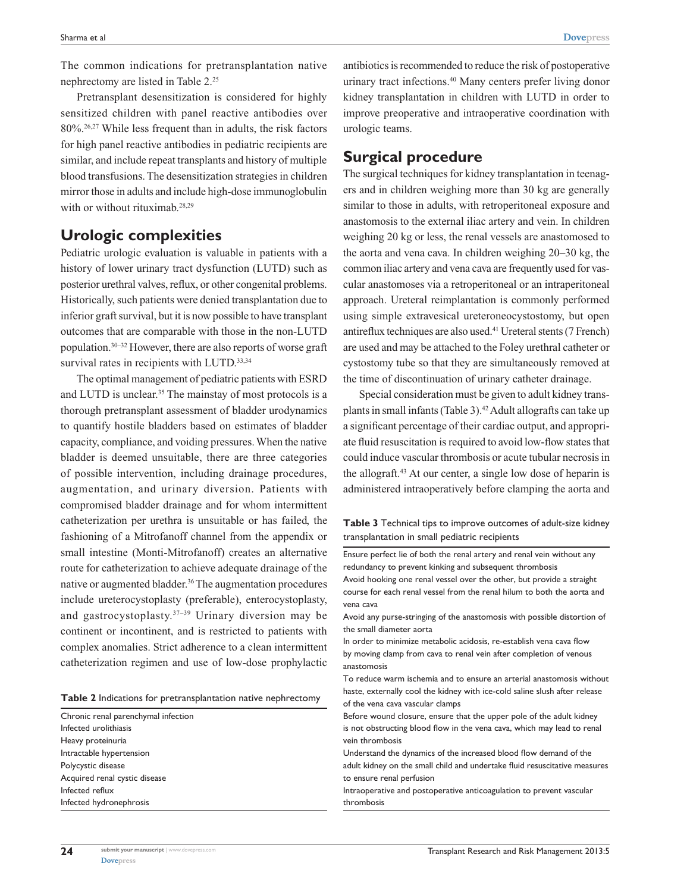The common indications for pretransplantation native nephrectomy are listed in Table 2.25

Pretransplant desensitization is considered for highly sensitized children with panel reactive antibodies over 80%.26,27 While less frequent than in adults, the risk factors for high panel reactive antibodies in pediatric recipients are similar, and include repeat transplants and history of multiple blood transfusions. The desensitization strategies in children mirror those in adults and include high-dose immunoglobulin with or without rituximab.<sup>28,29</sup>

# **Urologic complexities**

Pediatric urologic evaluation is valuable in patients with a history of lower urinary tract dysfunction (LUTD) such as posterior urethral valves, reflux, or other congenital problems. Historically, such patients were denied transplantation due to inferior graft survival, but it is now possible to have transplant outcomes that are comparable with those in the non-LUTD population.30–32 However, there are also reports of worse graft survival rates in recipients with LUTD.<sup>33,34</sup>

The optimal management of pediatric patients with ESRD and LUTD is unclear.<sup>35</sup> The mainstay of most protocols is a thorough pretransplant assessment of bladder urodynamics to quantify hostile bladders based on estimates of bladder capacity, compliance, and voiding pressures. When the native bladder is deemed unsuitable, there are three categories of possible intervention, including drainage procedures, augmentation, and urinary diversion. Patients with compromised bladder drainage and for whom intermittent catheterization per urethra is unsuitable or has failed, the fashioning of a Mitrofanoff channel from the appendix or small intestine (Monti-Mitrofanoff) creates an alternative route for catheterization to achieve adequate drainage of the native or augmented bladder.<sup>36</sup> The augmentation procedures include ureterocystoplasty (preferable), enterocystoplasty, and gastrocystoplasty. $37-39$  Urinary diversion may be continent or incontinent, and is restricted to patients with complex anomalies. Strict adherence to a clean intermittent catheterization regimen and use of low-dose prophylactic

| Table 2 Indications for pretransplantation native nephrectomy |  |
|---------------------------------------------------------------|--|
|---------------------------------------------------------------|--|

Chronic renal parenchymal infection Infected urolithiasis Heavy proteinuria Intractable hypertension Polycystic disease Acquired renal cystic disease Infected reflux Infected hydronephrosis

antibiotics is recommended to reduce the risk of postoperative urinary tract infections.40 Many centers prefer living donor kidney transplantation in children with LUTD in order to improve preoperative and intraoperative coordination with urologic teams.

## **Surgical procedure**

The surgical techniques for kidney transplantation in teenagers and in children weighing more than 30 kg are generally similar to those in adults, with retroperitoneal exposure and anastomosis to the external iliac artery and vein. In children weighing 20 kg or less, the renal vessels are anastomosed to the aorta and vena cava. In children weighing 20–30 kg, the common iliac artery and vena cava are frequently used for vascular anastomoses via a retroperitoneal or an intraperitoneal approach. Ureteral reimplantation is commonly performed using simple extravesical ureteroneocystostomy, but open antireflux techniques are also used.41 Ureteral stents (7 French) are used and may be attached to the Foley urethral catheter or cystostomy tube so that they are simultaneously removed at the time of discontinuation of urinary catheter drainage.

Special consideration must be given to adult kidney transplants in small infants (Table 3).<sup>42</sup> Adult allografts can take up a significant percentage of their cardiac output, and appropriate fluid resuscitation is required to avoid low-flow states that could induce vascular thrombosis or acute tubular necrosis in the allograft.43 At our center, a single low dose of heparin is administered intraoperatively before clamping the aorta and

**Table 3** Technical tips to improve outcomes of adult-size kidney transplantation in small pediatric recipients

Ensure perfect lie of both the renal artery and renal vein without any redundancy to prevent kinking and subsequent thrombosis Avoid hooking one renal vessel over the other, but provide a straight course for each renal vessel from the renal hilum to both the aorta and vena cava Avoid any purse-stringing of the anastomosis with possible distortion of the small diameter aorta In order to minimize metabolic acidosis, re-establish vena cava flow by moving clamp from cava to renal vein after completion of venous anastomosis To reduce warm ischemia and to ensure an arterial anastomosis without haste, externally cool the kidney with ice-cold saline slush after release of the vena cava vascular clamps Before wound closure, ensure that the upper pole of the adult kidney is not obstructing blood flow in the vena cava, which may lead to renal vein thrombosis Understand the dynamics of the increased blood flow demand of the adult kidney on the small child and undertake fluid resuscitative measures to ensure renal perfusion Intraoperative and postoperative anticoagulation to prevent vascular thrombosis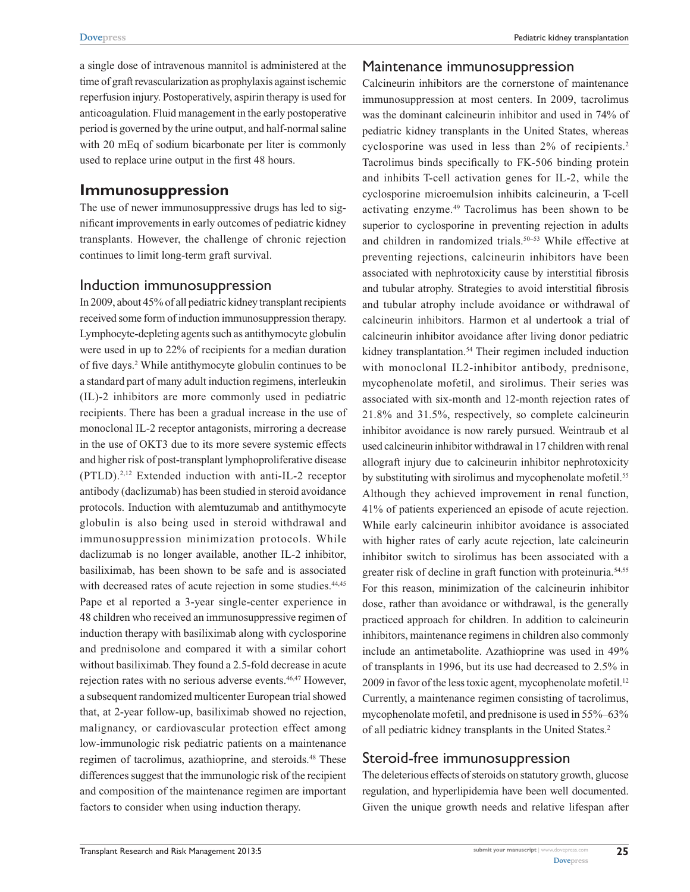a single dose of intravenous mannitol is administered at the time of graft revascularization as prophylaxis against ischemic reperfusion injury. Postoperatively, aspirin therapy is used for anticoagulation. Fluid management in the early postoperative period is governed by the urine output, and half-normal saline with 20 mEq of sodium bicarbonate per liter is commonly used to replace urine output in the first 48 hours.

## **Immunosuppression**

The use of newer immunosuppressive drugs has led to significant improvements in early outcomes of pediatric kidney transplants. However, the challenge of chronic rejection continues to limit long-term graft survival.

#### Induction immunosuppression

In 2009, about 45% of all pediatric kidney transplant recipients received some form of induction immunosuppression therapy. Lymphocyte-depleting agents such as antithymocyte globulin were used in up to 22% of recipients for a median duration of five days.<sup>2</sup> While antithymocyte globulin continues to be a standard part of many adult induction regimens, interleukin (IL)-2 inhibitors are more commonly used in pediatric recipients. There has been a gradual increase in the use of monoclonal IL-2 receptor antagonists, mirroring a decrease in the use of OKT3 due to its more severe systemic effects and higher risk of post-transplant lymphoproliferative disease (PTLD).2,12 Extended induction with anti-IL-2 receptor antibody (daclizumab) has been studied in steroid avoidance protocols. Induction with alemtuzumab and antithymocyte globulin is also being used in steroid withdrawal and immunosuppression minimization protocols. While daclizumab is no longer available, another IL-2 inhibitor, basiliximab, has been shown to be safe and is associated with decreased rates of acute rejection in some studies.<sup>44,45</sup> Pape et al reported a 3-year single-center experience in 48 children who received an immunosuppressive regimen of induction therapy with basiliximab along with cyclosporine and prednisolone and compared it with a similar cohort without basiliximab. They found a 2.5-fold decrease in acute rejection rates with no serious adverse events.46,47 However, a subsequent randomized multicenter European trial showed that, at 2-year follow-up, basiliximab showed no rejection, malignancy, or cardiovascular protection effect among low-immunologic risk pediatric patients on a maintenance regimen of tacrolimus, azathioprine, and steroids.<sup>48</sup> These differences suggest that the immunologic risk of the recipient and composition of the maintenance regimen are important factors to consider when using induction therapy.

#### Maintenance immunosuppression

Calcineurin inhibitors are the cornerstone of maintenance immunosuppression at most centers. In 2009, tacrolimus was the dominant calcineurin inhibitor and used in 74% of pediatric kidney transplants in the United States, whereas cyclosporine was used in less than 2% of recipients.<sup>2</sup> Tacrolimus binds specifically to FK-506 binding protein and inhibits T-cell activation genes for IL-2, while the cyclosporine microemulsion inhibits calcineurin, a T-cell activating enzyme.49 Tacrolimus has been shown to be superior to cyclosporine in preventing rejection in adults and children in randomized trials.<sup>50-53</sup> While effective at preventing rejections, calcineurin inhibitors have been associated with nephrotoxicity cause by interstitial fibrosis and tubular atrophy. Strategies to avoid interstitial fibrosis and tubular atrophy include avoidance or withdrawal of calcineurin inhibitors. Harmon et al undertook a trial of calcineurin inhibitor avoidance after living donor pediatric kidney transplantation.<sup>54</sup> Their regimen included induction with monoclonal IL2-inhibitor antibody, prednisone, mycophenolate mofetil, and sirolimus. Their series was associated with six-month and 12-month rejection rates of 21.8% and 31.5%, respectively, so complete calcineurin inhibitor avoidance is now rarely pursued. Weintraub et al used calcineurin inhibitor withdrawal in 17 children with renal allograft injury due to calcineurin inhibitor nephrotoxicity by substituting with sirolimus and mycophenolate mofetil.<sup>55</sup> Although they achieved improvement in renal function, 41% of patients experienced an episode of acute rejection. While early calcineurin inhibitor avoidance is associated with higher rates of early acute rejection, late calcineurin inhibitor switch to sirolimus has been associated with a greater risk of decline in graft function with proteinuria.<sup>54,55</sup> For this reason, minimization of the calcineurin inhibitor dose, rather than avoidance or withdrawal, is the generally practiced approach for children. In addition to calcineurin inhibitors, maintenance regimens in children also commonly include an antimetabolite. Azathioprine was used in 49% of transplants in 1996, but its use had decreased to 2.5% in 2009 in favor of the less toxic agent, mycophenolate mofetil.<sup>12</sup> Currently, a maintenance regimen consisting of tacrolimus, mycophenolate mofetil, and prednisone is used in 55%–63% of all pediatric kidney transplants in the United States.2

## Steroid-free immunosuppression

The deleterious effects of steroids on statutory growth, glucose regulation, and hyperlipidemia have been well documented. Given the unique growth needs and relative lifespan after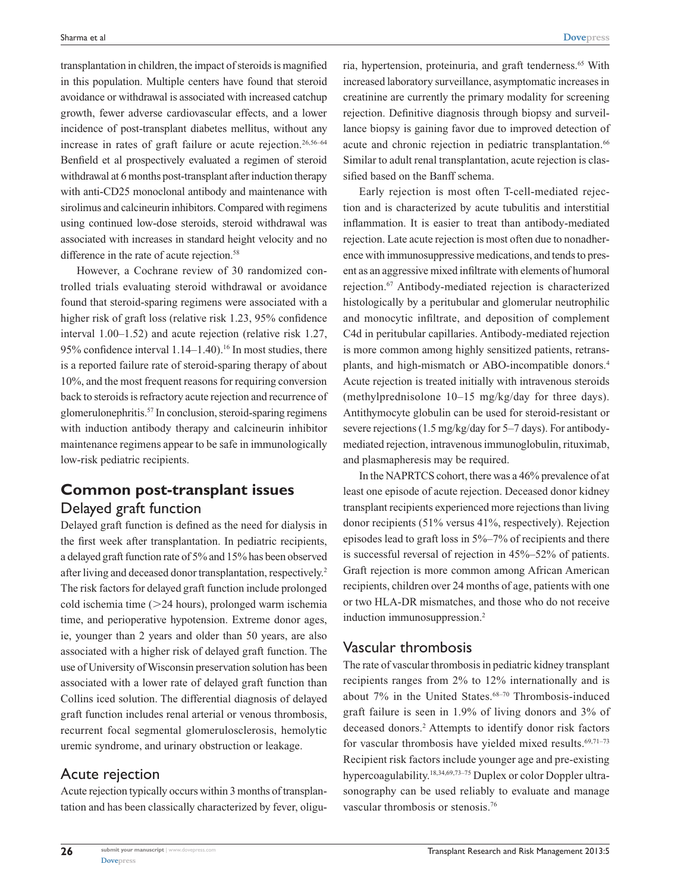transplantation in children, the impact of steroids is magnified in this population. Multiple centers have found that steroid avoidance or withdrawal is associated with increased catchup growth, fewer adverse cardiovascular effects, and a lower incidence of post-transplant diabetes mellitus, without any increase in rates of graft failure or acute rejection.<sup>26,56–64</sup> Benfield et al prospectively evaluated a regimen of steroid withdrawal at 6 months post-transplant after induction therapy with anti-CD25 monoclonal antibody and maintenance with sirolimus and calcineurin inhibitors. Compared with regimens using continued low-dose steroids, steroid withdrawal was associated with increases in standard height velocity and no difference in the rate of acute rejection.<sup>58</sup>

However, a Cochrane review of 30 randomized controlled trials evaluating steroid withdrawal or avoidance found that steroid-sparing regimens were associated with a higher risk of graft loss (relative risk 1.23, 95% confidence interval 1.00–1.52) and acute rejection (relative risk 1.27, 95% confidence interval 1.14–1.40).<sup>16</sup> In most studies, there is a reported failure rate of steroid-sparing therapy of about 10%, and the most frequent reasons for requiring conversion back to steroids is refractory acute rejection and recurrence of glomerulonephritis.57 In conclusion, steroid-sparing regimens with induction antibody therapy and calcineurin inhibitor maintenance regimens appear to be safe in immunologically low-risk pediatric recipients.

# **Common post-transplant issues** Delayed graft function

Delayed graft function is defined as the need for dialysis in the first week after transplantation. In pediatric recipients, a delayed graft function rate of 5% and 15% has been observed after living and deceased donor transplantation, respectively.2 The risk factors for delayed graft function include prolonged cold ischemia time  $(>=24$  hours), prolonged warm ischemia time, and perioperative hypotension. Extreme donor ages, ie, younger than 2 years and older than 50 years, are also associated with a higher risk of delayed graft function. The use of University of Wisconsin preservation solution has been associated with a lower rate of delayed graft function than Collins iced solution. The differential diagnosis of delayed graft function includes renal arterial or venous thrombosis, recurrent focal segmental glomerulosclerosis, hemolytic uremic syndrome, and urinary obstruction or leakage.

## Acute rejection

**26**

Acute rejection typically occurs within 3 months of transplantation and has been classically characterized by fever, oliguria, hypertension, proteinuria, and graft tenderness.<sup>65</sup> With increased laboratory surveillance, asymptomatic increases in creatinine are currently the primary modality for screening rejection. Definitive diagnosis through biopsy and surveillance biopsy is gaining favor due to improved detection of acute and chronic rejection in pediatric transplantation.<sup>66</sup> Similar to adult renal transplantation, acute rejection is classified based on the Banff schema.

Early rejection is most often T-cell-mediated rejection and is characterized by acute tubulitis and interstitial inflammation. It is easier to treat than antibody-mediated rejection. Late acute rejection is most often due to nonadherence with immunosuppressive medications, and tends to present as an aggressive mixed infiltrate with elements of humoral rejection.67 Antibody-mediated rejection is characterized histologically by a peritubular and glomerular neutrophilic and monocytic infiltrate, and deposition of complement C4d in peritubular capillaries. Antibody-mediated rejection is more common among highly sensitized patients, retransplants, and high-mismatch or ABO-incompatible donors.4 Acute rejection is treated initially with intravenous steroids (methylprednisolone 10–15 mg/kg/day for three days). Antithymocyte globulin can be used for steroid-resistant or severe rejections (1.5 mg/kg/day for 5–7 days). For antibodymediated rejection, intravenous immunoglobulin, rituximab, and plasmapheresis may be required.

In the NAPRTCS cohort, there was a 46% prevalence of at least one episode of acute rejection. Deceased donor kidney transplant recipients experienced more rejections than living donor recipients (51% versus 41%, respectively). Rejection episodes lead to graft loss in 5%–7% of recipients and there is successful reversal of rejection in 45%–52% of patients. Graft rejection is more common among African American recipients, children over 24 months of age, patients with one or two HLA-DR mismatches, and those who do not receive induction immunosuppression.<sup>2</sup>

#### Vascular thrombosis

The rate of vascular thrombosis in pediatric kidney transplant recipients ranges from 2% to 12% internationally and is about 7% in the United States.<sup>68-70</sup> Thrombosis-induced graft failure is seen in 1.9% of living donors and 3% of deceased donors.2 Attempts to identify donor risk factors for vascular thrombosis have yielded mixed results.<sup>69,71-73</sup> Recipient risk factors include younger age and pre-existing hypercoagulability.<sup>18,34,69,73–75</sup> Duplex or color Doppler ultrasonography can be used reliably to evaluate and manage vascular thrombosis or stenosis.76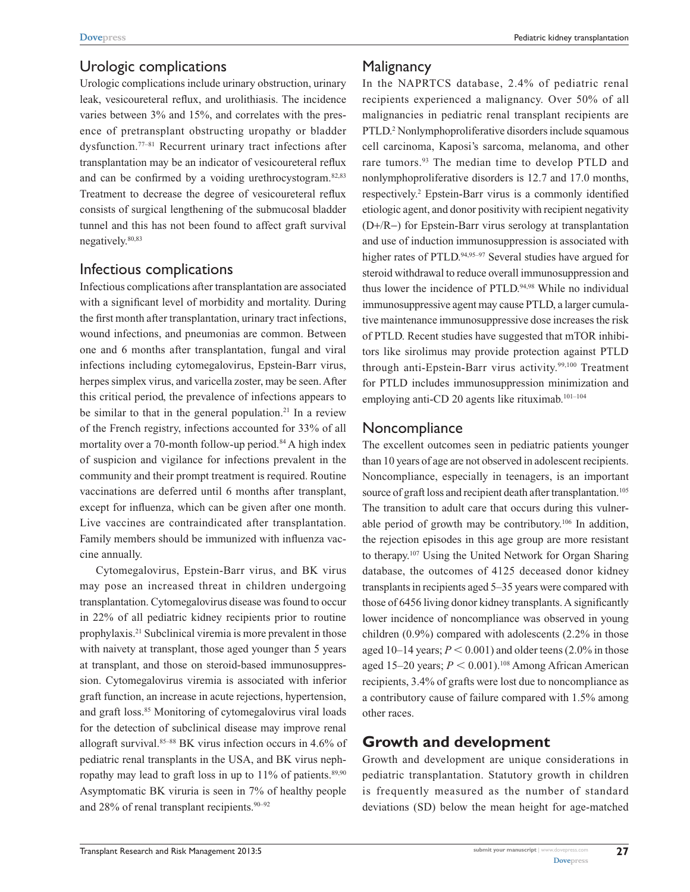# Urologic complications

Urologic complications include urinary obstruction, urinary leak, vesicoureteral reflux, and urolithiasis. The incidence varies between 3% and 15%, and correlates with the presence of pretransplant obstructing uropathy or bladder dysfunction.77–81 Recurrent urinary tract infections after transplantation may be an indicator of vesicoureteral reflux and can be confirmed by a voiding urethrocystogram. $82,83$ Treatment to decrease the degree of vesicoureteral reflux consists of surgical lengthening of the submucosal bladder tunnel and this has not been found to affect graft survival negatively.80,83

# Infectious complications

Infectious complications after transplantation are associated with a significant level of morbidity and mortality. During the first month after transplantation, urinary tract infections, wound infections, and pneumonias are common. Between one and 6 months after transplantation, fungal and viral infections including cytomegalovirus, Epstein-Barr virus, herpes simplex virus, and varicella zoster, may be seen. After this critical period, the prevalence of infections appears to be similar to that in the general population.<sup>21</sup> In a review of the French registry, infections accounted for 33% of all mortality over a 70-month follow-up period.<sup>84</sup> A high index of suspicion and vigilance for infections prevalent in the community and their prompt treatment is required. Routine vaccinations are deferred until 6 months after transplant, except for influenza, which can be given after one month. Live vaccines are contraindicated after transplantation. Family members should be immunized with influenza vaccine annually.

Cytomegalovirus, Epstein-Barr virus, and BK virus may pose an increased threat in children undergoing transplantation. Cytomegalovirus disease was found to occur in 22% of all pediatric kidney recipients prior to routine prophylaxis.21 Subclinical viremia is more prevalent in those with naivety at transplant, those aged younger than 5 years at transplant, and those on steroid-based immunosuppression. Cytomegalovirus viremia is associated with inferior graft function, an increase in acute rejections, hypertension, and graft loss.<sup>85</sup> Monitoring of cytomegalovirus viral loads for the detection of subclinical disease may improve renal allograft survival.85–88 BK virus infection occurs in 4.6% of pediatric renal transplants in the USA, and BK virus nephropathy may lead to graft loss in up to  $11\%$  of patients.<sup>89,90</sup> Asymptomatic BK viruria is seen in 7% of healthy people and 28% of renal transplant recipients.<sup>90-92</sup>

# Malignancy

In the NAPRTCS database, 2.4% of pediatric renal recipients experienced a malignancy. Over 50% of all malignancies in pediatric renal transplant recipients are PTLD.2 Nonlymphoproliferative disorders include squamous cell carcinoma, Kaposi's sarcoma, melanoma, and other rare tumors.<sup>93</sup> The median time to develop PTLD and nonlymphoproliferative disorders is 12.7 and 17.0 months, respectively.2 Epstein-Barr virus is a commonly identified etiologic agent, and donor positivity with recipient negativity (D+/R-) for Epstein-Barr virus serology at transplantation and use of induction immunosuppression is associated with higher rates of PTLD.<sup>94,95-97</sup> Several studies have argued for steroid withdrawal to reduce overall immunosuppression and thus lower the incidence of PTLD.94,98 While no individual immunosuppressive agent may cause PTLD, a larger cumulative maintenance immunosuppressive dose increases the risk of PTLD. Recent studies have suggested that mTOR inhibitors like sirolimus may provide protection against PTLD through anti-Epstein-Barr virus activity.<sup>99,100</sup> Treatment for PTLD includes immunosuppression minimization and employing anti-CD 20 agents like rituximab.<sup>101-104</sup>

# Noncompliance

The excellent outcomes seen in pediatric patients younger than 10 years of age are not observed in adolescent recipients. Noncompliance, especially in teenagers, is an important source of graft loss and recipient death after transplantation.<sup>105</sup> The transition to adult care that occurs during this vulnerable period of growth may be contributory.<sup>106</sup> In addition, the rejection episodes in this age group are more resistant to therapy.107 Using the United Network for Organ Sharing database, the outcomes of 4125 deceased donor kidney transplants in recipients aged 5–35 years were compared with those of 6456 living donor kidney transplants. A significantly lower incidence of noncompliance was observed in young children (0.9%) compared with adolescents (2.2% in those aged  $10-14$  years;  $P < 0.001$ ) and older teens (2.0% in those aged 15–20 years;  $P < 0.001$ ).<sup>108</sup> Among African American recipients, 3.4% of grafts were lost due to noncompliance as a contributory cause of failure compared with 1.5% among other races.

# **Growth and development**

Growth and development are unique considerations in pediatric transplantation. Statutory growth in children is frequently measured as the number of standard deviations (SD) below the mean height for age-matched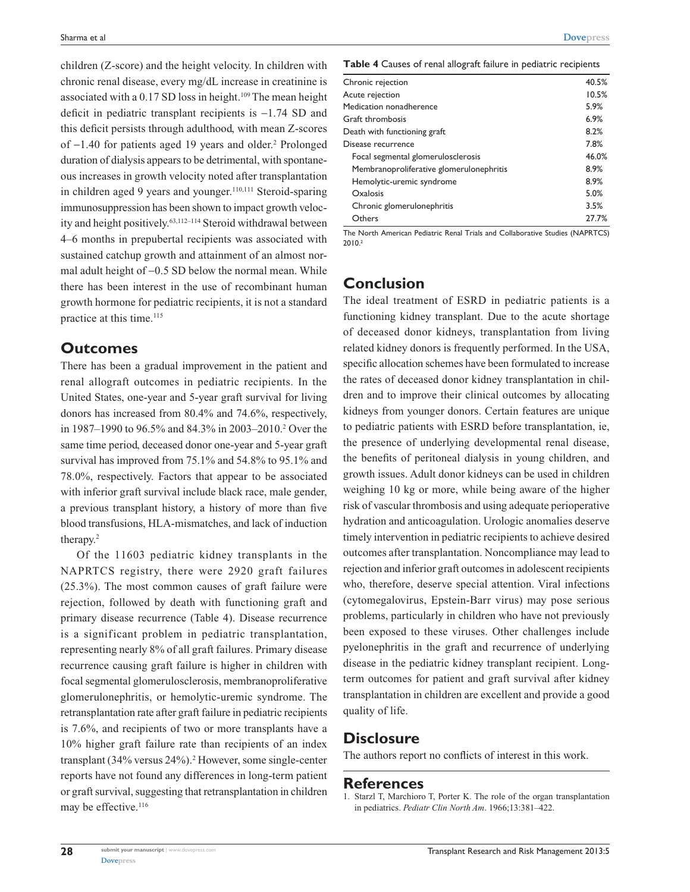children (Z-score) and the height velocity. In children with chronic renal disease, every mg/dL increase in creatinine is associated with a  $0.17$  SD loss in height.<sup>109</sup> The mean height deficit in pediatric transplant recipients is −1.74 SD and this deficit persists through adulthood, with mean Z-scores of  $-1.40$  for patients aged 19 years and older.<sup>2</sup> Prolonged duration of dialysis appears to be detrimental, with spontaneous increases in growth velocity noted after transplantation in children aged 9 years and younger.<sup>110,111</sup> Steroid-sparing immunosuppression has been shown to impact growth velocity and height positively.63,112–114 Steroid withdrawal between 4–6 months in prepubertal recipients was associated with sustained catchup growth and attainment of an almost normal adult height of  $-0.5$  SD below the normal mean. While there has been interest in the use of recombinant human growth hormone for pediatric recipients, it is not a standard practice at this time.<sup>115</sup>

# **Outcomes**

There has been a gradual improvement in the patient and renal allograft outcomes in pediatric recipients. In the United States, one-year and 5-year graft survival for living donors has increased from 80.4% and 74.6%, respectively, in 1987–1990 to 96.5% and 84.3% in 2003–2010.2 Over the same time period, deceased donor one-year and 5-year graft survival has improved from 75.1% and 54.8% to 95.1% and 78.0%, respectively. Factors that appear to be associated with inferior graft survival include black race, male gender, a previous transplant history, a history of more than five blood transfusions, HLA-mismatches, and lack of induction therapy.2

Of the 11603 pediatric kidney transplants in the NAPRTCS registry, there were 2920 graft failures (25.3%). The most common causes of graft failure were rejection, followed by death with functioning graft and primary disease recurrence (Table 4). Disease recurrence is a significant problem in pediatric transplantation, representing nearly 8% of all graft failures. Primary disease recurrence causing graft failure is higher in children with focal segmental glomerulosclerosis, membranoproliferative glomerulonephritis, or hemolytic-uremic syndrome. The retransplantation rate after graft failure in pediatric recipients is 7.6%, and recipients of two or more transplants have a 10% higher graft failure rate than recipients of an index transplant (34% versus 24%).2 However, some single-center reports have not found any differences in long-term patient or graft survival, suggesting that retransplantation in children may be effective.<sup>116</sup>

**Table 4** Causes of renal allograft failure in pediatric recipients

| Chronic rejection                        | 40.5% |
|------------------------------------------|-------|
| Acute rejection                          | 10.5% |
| Medication nonadherence                  | 5.9%  |
| Graft thrombosis                         | 6.9%  |
| Death with functioning graft             | 8.2%  |
| Disease recurrence                       | 7.8%  |
| Focal segmental glomerulosclerosis       | 46.0% |
| Membranoproliferative glomerulonephritis | 8.9%  |
| Hemolytic-uremic syndrome                | 8.9%  |
| Oxalosis                                 | 5.0%  |
| Chronic glomerulonephritis               | 3.5%  |
| Others                                   | 27.7% |

The North American Pediatric Renal Trials and Collaborative Studies (NAPRTCS) 2010.2

# **Conclusion**

The ideal treatment of ESRD in pediatric patients is a functioning kidney transplant. Due to the acute shortage of deceased donor kidneys, transplantation from living related kidney donors is frequently performed. In the USA, specific allocation schemes have been formulated to increase the rates of deceased donor kidney transplantation in children and to improve their clinical outcomes by allocating kidneys from younger donors. Certain features are unique to pediatric patients with ESRD before transplantation, ie, the presence of underlying developmental renal disease, the benefits of peritoneal dialysis in young children, and growth issues. Adult donor kidneys can be used in children weighing 10 kg or more, while being aware of the higher risk of vascular thrombosis and using adequate perioperative hydration and anticoagulation. Urologic anomalies deserve timely intervention in pediatric recipients to achieve desired outcomes after transplantation. Noncompliance may lead to rejection and inferior graft outcomes in adolescent recipients who, therefore, deserve special attention. Viral infections (cytomegalovirus, Epstein-Barr virus) may pose serious problems, particularly in children who have not previously been exposed to these viruses. Other challenges include pyelonephritis in the graft and recurrence of underlying disease in the pediatric kidney transplant recipient. Longterm outcomes for patient and graft survival after kidney transplantation in children are excellent and provide a good quality of life.

#### **Disclosure**

The authors report no conflicts of interest in this work.

#### **References**

1. Starzl T, Marchioro T, Porter K. The role of the organ transplantation in pediatrics. *Pediatr Clin North Am*. 1966;13:381–422.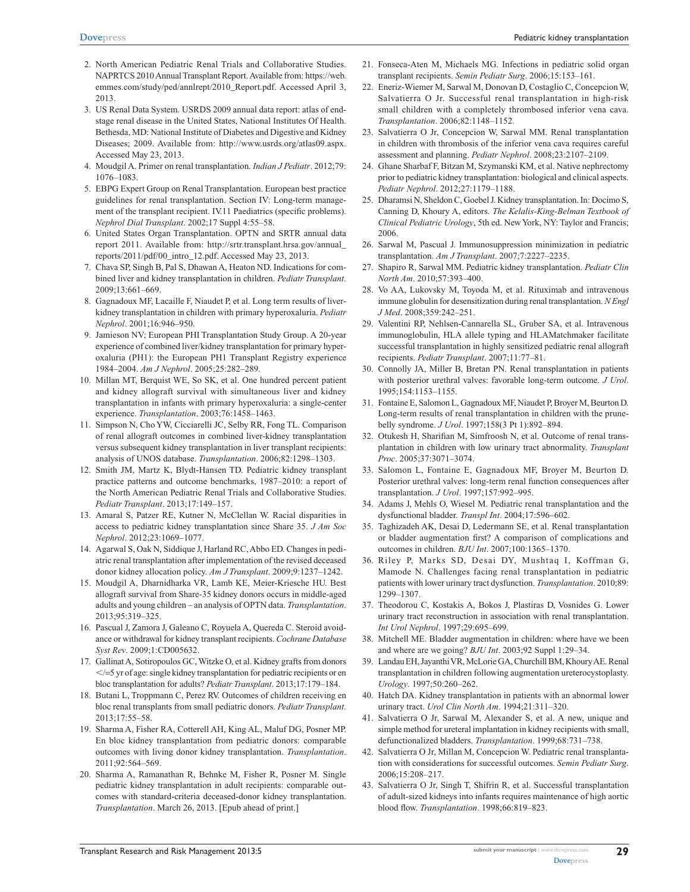- 2. North American Pediatric Renal Trials and Collaborative Studies. NAPRTCS 2010Annual Transplant Report. Available from: [https://web.](https://web.emmes.com/study/ped/annlrept/2010_Report.pdf) [emmes.com/study/ped/annlrept/2010\\_Report.pdf.](https://web.emmes.com/study/ped/annlrept/2010_Report.pdf) Accessed April 3, 2013.
- 3. US Renal Data System. USRDS 2009 annual data report: atlas of endstage renal disease in the United States, National Institutes Of Health. Bethesda, MD: National Institute of Diabetes and Digestive and Kidney Diseases; 2009. Available from: <http://www.usrds.org/atlas09.aspx>. Accessed May 23, 2013.
- 4. Moudgil A. Primer on renal transplantation. *Indian J Pediatr*. 2012;79: 1076–1083.
- 5. EBPG Expert Group on Renal Transplantation. European best practice guidelines for renal transplantation. Section IV: Long-term management of the transplant recipient. IV.11 Paediatrics (specific problems). *Nephrol Dial Transplant*. 2002;17 Suppl 4:55–58.
- 6. United States Organ Transplantation. OPTN and SRTR annual data report 2011. Available from: [http://srtr.transplant.hrsa.gov/annual\\_](http://srtr.transplant.hrsa.gov/annual_reports/2011/pdf/00_intro_12.pdf) [reports/2011/pdf/00\\_intro\\_12.pdf](http://srtr.transplant.hrsa.gov/annual_reports/2011/pdf/00_intro_12.pdf). Accessed May 23, 2013.
- 7. Chava SP, Singh B, Pal S, Dhawan A, Heaton ND. Indications for combined liver and kidney transplantation in children. *Pediatr Transplant*. 2009;13:661–669.
- 8. Gagnadoux MF, Lacaille F, Niaudet P, et al. Long term results of liverkidney transplantation in children with primary hyperoxaluria. *Pediatr Nephrol*. 2001;16:946–950.
- 9. Jamieson NV; European PHI Transplantation Study Group. A 20-year experience of combined liver/kidney transplantation for primary hyperoxaluria (PH1): the European PH1 Transplant Registry experience 1984–2004. *Am J Nephrol*. 2005;25:282–289.
- 10. Millan MT, Berquist WE, So SK, et al. One hundred percent patient and kidney allograft survival with simultaneous liver and kidney transplantation in infants with primary hyperoxaluria: a single-center experience. *Transplantation*. 2003;76:1458–1463.
- 11. Simpson N, Cho YW, Cicciarelli JC, Selby RR, Fong TL. Comparison of renal allograft outcomes in combined liver-kidney transplantation versus subsequent kidney transplantation in liver transplant recipients: analysis of UNOS database. *Transplantation*. 2006;82:1298–1303.
- 12. Smith JM, Martz K, Blydt-Hansen TD. Pediatric kidney transplant practice patterns and outcome benchmarks, 1987–2010: a report of the North American Pediatric Renal Trials and Collaborative Studies. *Pediatr Transplant*. 2013;17:149–157.
- 13. Amaral S, Patzer RE, Kutner N, McClellan W. Racial disparities in access to pediatric kidney transplantation since Share 35. *J Am Soc Nephrol*. 2012;23:1069–1077.
- 14. Agarwal S, Oak N, Siddique J, Harland RC, Abbo ED. Changes in pediatric renal transplantation after implementation of the revised deceased donor kidney allocation policy. *Am J Transplant*. 2009;9:1237–1242.
- 15. Moudgil A, Dharnidharka VR, Lamb KE, Meier-Kriesche HU. Best allograft survival from Share-35 kidney donors occurs in middle-aged adults and young children – an analysis of OPTN data. *Transplantation*. 2013;95:319–325.
- 16. Pascual J, Zamora J, Galeano C, Royuela A, Quereda C. Steroid avoidance or withdrawal for kidney transplant recipients. *Cochrane Database Syst Rev*. 2009;1:CD005632.
- 17. Gallinat A, Sotiropoulos GC, Witzke O, et al. Kidney grafts from donors  $<$   $=$  5 yr of age: single kidney transplantation for pediatric recipients or en bloc transplantation for adults? *Pediatr Transplant*. 2013;17:179–184.
- 18. Butani L, Troppmann C, Perez RV. Outcomes of children receiving en bloc renal transplants from small pediatric donors. *Pediatr Transplant*. 2013;17:55–58.
- 19. Sharma A, Fisher RA, Cotterell AH, King AL, Maluf DG, Posner MP. En bloc kidney transplantation from pediatric donors: comparable outcomes with living donor kidney transplantation. *Transplantation*. 2011;92:564–569.
- 20. Sharma A, Ramanathan R, Behnke M, Fisher R, Posner M. Single pediatric kidney transplantation in adult recipients: comparable outcomes with standard-criteria deceased-donor kidney transplantation. *Transplantation*. March 26, 2013. [Epub ahead of print.]
- 21. Fonseca-Aten M, Michaels MG. Infections in pediatric solid organ transplant recipients. *Semin Pediatr Surg*. 2006;15:153–161.
- 22. Eneriz-Wiemer M, Sarwal M, Donovan D, Costaglio C, Concepcion W, Salvatierra O Jr. Successful renal transplantation in high-risk small children with a completely thrombosed inferior vena cava. *Transplantation*. 2006;82:1148–1152.
- 23. Salvatierra O Jr, Concepcion W, Sarwal MM. Renal transplantation in children with thrombosis of the inferior vena cava requires careful assessment and planning. *Pediatr Nephrol*. 2008;23:2107–2109.
- 24. Ghane Sharbaf F, Bitzan M, Szymanski KM, et al. Native nephrectomy prior to pediatric kidney transplantation: biological and clinical aspects. *Pediatr Nephrol*. 2012;27:1179–1188.
- 25. Dharamsi N, Sheldon C, Goebel J. Kidney transplantation. In: Docimo S, Canning D, Khoury A, editors. *The Kelalis-King-Belman Textbook of Clinical Pediatric Urology*, 5th ed. New York, NY: Taylor and Francis; 2006.
- 26. Sarwal M, Pascual J. Immunosuppression minimization in pediatric transplantation. *Am J Transplant*. 2007;7:2227–2235.
- 27. Shapiro R, Sarwal MM. Pediatric kidney transplantation. *Pediatr Clin North Am*. 2010;57:393–400.
- 28. Vo AA, Lukovsky M, Toyoda M, et al. Rituximab and intravenous immune globulin for desensitization during renal transplantation. *N Engl J Med*. 2008;359:242–251.
- 29. Valentini RP, Nehlsen-Cannarella SL, Gruber SA, et al. Intravenous immunoglobulin, HLA allele typing and HLAMatchmaker facilitate successful transplantation in highly sensitized pediatric renal allograft recipients. *Pediatr Transplant*. 2007;11:77–81.
- 30. Connolly JA, Miller B, Bretan PN. Renal transplantation in patients with posterior urethral valves: favorable long-term outcome. *J Urol*. 1995;154:1153–1155.
- 31. Fontaine E, Salomon L, Gagnadoux MF, Niaudet P, Broyer M, Beurton D. Long-term results of renal transplantation in children with the prunebelly syndrome. *J Urol*. 1997;158(3 Pt 1):892–894.
- 32. Otukesh H, Sharifian M, Simfroosh N, et al. Outcome of renal transplantation in children with low urinary tract abnormality. *Transplant Proc*. 2005;37:3071–3074.
- 33. Salomon L, Fontaine E, Gagnadoux MF, Broyer M, Beurton D. Posterior urethral valves: long-term renal function consequences after transplantation. *J Urol*. 1997;157:992–995.
- Adams J, Mehls O, Wiesel M. Pediatric renal transplantation and the dysfunctional bladder. *Transpl Int*. 2004;17:596–602.
- 35. Taghizadeh AK, Desai D, Ledermann SE, et al. Renal transplantation or bladder augmentation first? A comparison of complications and outcomes in children. *BJU Int*. 2007;100:1365–1370.
- 36. Riley P, Marks SD, Desai DY, Mushtaq I, Koffman G, Mamode N. Challenges facing renal transplantation in pediatric patients with lower urinary tract dysfunction. *Transplantation*. 2010;89: 1299–1307.
- 37. Theodorou C, Kostakis A, Bokos J, Plastiras D, Vosnides G. Lower urinary tract reconstruction in association with renal transplantation. *Int Urol Nephrol*. 1997;29:695–699.
- 38. Mitchell ME. Bladder augmentation in children: where have we been and where are we going? *BJU Int*. 2003;92 Suppl 1:29–34.
- 39. Landau EH, Jayanthi VR, McLorie GA, Churchill BM, Khoury AE. Renal transplantation in children following augmentation ureterocystoplasty. *Urology*. 1997;50:260–262.
- Hatch DA. Kidney transplantation in patients with an abnormal lower urinary tract. *Urol Clin North Am*. 1994;21:311–320.
- 41. Salvatierra O Jr, Sarwal M, Alexander S, et al. A new, unique and simple method for ureteral implantation in kidney recipients with small, defunctionalized bladders. *Transplantation*. 1999;68:731–738.
- 42. Salvatierra O Jr, Millan M, Concepcion W. Pediatric renal transplantation with considerations for successful outcomes. *Semin Pediatr Surg*. 2006;15:208–217.
- 43. Salvatierra O Jr, Singh T, Shifrin R, et al. Successful transplantation of adult-sized kidneys into infants requires maintenance of high aortic blood flow. *Transplantation*. 1998;66:819–823.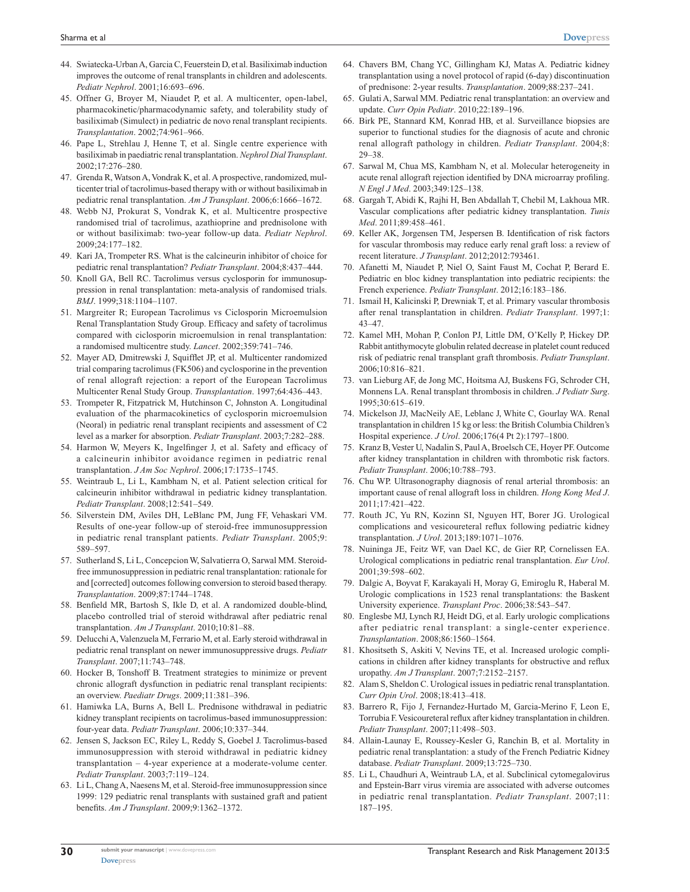- 44. Swiatecka-Urban A, Garcia C, Feuerstein D, et al. Basiliximab induction improves the outcome of renal transplants in children and adolescents. *Pediatr Nephrol*. 2001;16:693–696.
- 45. Offner G, Broyer M, Niaudet P, et al. A multicenter, open-label, pharmacokinetic/pharmacodynamic safety, and tolerability study of basiliximab (Simulect) in pediatric de novo renal transplant recipients. *Transplantation*. 2002;74:961–966.
- 46. Pape L, Strehlau J, Henne T, et al. Single centre experience with basiliximab in paediatric renal transplantation. *Nephrol Dial Transplant*. 2002;17:276–280.
- 47. Grenda R, Watson A, Vondrak K, et al. A prospective, randomized, multicenter trial of tacrolimus-based therapy with or without basiliximab in pediatric renal transplantation. *Am J Transplant*. 2006;6:1666–1672.
- 48. Webb NJ, Prokurat S, Vondrak K, et al. Multicentre prospective randomised trial of tacrolimus, azathioprine and prednisolone with or without basiliximab: two-year follow-up data. *Pediatr Nephrol*. 2009;24:177–182.
- 49. Kari JA, Trompeter RS. What is the calcineurin inhibitor of choice for pediatric renal transplantation? *Pediatr Transplant*. 2004;8:437–444.
- 50. Knoll GA, Bell RC. Tacrolimus versus cyclosporin for immunosuppression in renal transplantation: meta-analysis of randomised trials. *BMJ*. 1999;318:1104–1107.
- 51. Margreiter R; European Tacrolimus vs Ciclosporin Microemulsion Renal Transplantation Study Group. Efficacy and safety of tacrolimus compared with ciclosporin microemulsion in renal transplantation: a randomised multicentre study. *Lancet*. 2002;359:741–746.
- 52. Mayer AD, Dmitrewski J, Squifflet JP, et al. Multicenter randomized trial comparing tacrolimus (FK506) and cyclosporine in the prevention of renal allograft rejection: a report of the European Tacrolimus Multicenter Renal Study Group. *Transplantation*. 1997;64:436–443.
- 53. Trompeter R, Fitzpatrick M, Hutchinson C, Johnston A. Longitudinal evaluation of the pharmacokinetics of cyclosporin microemulsion (Neoral) in pediatric renal transplant recipients and assessment of C2 level as a marker for absorption. *Pediatr Transplant*. 2003;7:282–288.
- 54. Harmon W, Meyers K, Ingelfinger J, et al. Safety and efficacy of a calcineurin inhibitor avoidance regimen in pediatric renal transplantation. *J Am Soc Nephrol*. 2006;17:1735–1745.
- 55. Weintraub L, Li L, Kambham N, et al. Patient selection critical for calcineurin inhibitor withdrawal in pediatric kidney transplantation. *Pediatr Transplant*. 2008;12:541–549.
- 56. Silverstein DM, Aviles DH, LeBlanc PM, Jung FF, Vehaskari VM. Results of one-year follow-up of steroid-free immunosuppression in pediatric renal transplant patients. *Pediatr Transplant*. 2005;9: 589–597.
- 57. Sutherland S, Li L, Concepcion W, Salvatierra O, Sarwal MM. Steroidfree immunosuppression in pediatric renal transplantation: rationale for and [corrected] outcomes following conversion to steroid based therapy. *Transplantation*. 2009;87:1744–1748.
- 58. Benfield MR, Bartosh S, Ikle D, et al. A randomized double-blind, placebo controlled trial of steroid withdrawal after pediatric renal transplantation. *Am J Transplant*. 2010;10:81–88.
- 59. Delucchi A, Valenzuela M, Ferrario M, et al. Early steroid withdrawal in pediatric renal transplant on newer immunosuppressive drugs. *Pediatr Transplant*. 2007;11:743–748.
- 60. Hocker B, Tonshoff B. Treatment strategies to minimize or prevent chronic allograft dysfunction in pediatric renal transplant recipients: an overview. *Paediatr Drugs*. 2009;11:381–396.
- 61. Hamiwka LA, Burns A, Bell L. Prednisone withdrawal in pediatric kidney transplant recipients on tacrolimus-based immunosuppression: four-year data. *Pediatr Transplant*. 2006;10:337–344.
- 62. Jensen S, Jackson EC, Riley L, Reddy S, Goebel J. Tacrolimus-based immunosuppression with steroid withdrawal in pediatric kidney transplantation – 4-year experience at a moderate-volume center. *Pediatr Transplant*. 2003;7:119–124.
- 63. Li L, Chang A, Naesens M, et al. Steroid-free immunosuppression since 1999: 129 pediatric renal transplants with sustained graft and patient benefits. *Am J Transplant*. 2009;9:1362–1372.
- 64. Chavers BM, Chang YC, Gillingham KJ, Matas A. Pediatric kidney transplantation using a novel protocol of rapid (6-day) discontinuation of prednisone: 2-year results. *Transplantation*. 2009;88:237–241.
- 65. Gulati A, Sarwal MM. Pediatric renal transplantation: an overview and update. *Curr Opin Pediatr*. 2010;22:189–196.
- 66. Birk PE, Stannard KM, Konrad HB, et al. Surveillance biopsies are superior to functional studies for the diagnosis of acute and chronic renal allograft pathology in children. *Pediatr Transplant*. 2004;8: 29–38.
- 67. Sarwal M, Chua MS, Kambham N, et al. Molecular heterogeneity in acute renal allograft rejection identified by DNA microarray profiling. *N Engl J Med*. 2003;349:125–138.
- 68. Gargah T, Abidi K, Rajhi H, Ben Abdallah T, Chebil M, Lakhoua MR. Vascular complications after pediatric kidney transplantation. *Tunis Med*. 2011;89:458–461.
- 69. Keller AK, Jorgensen TM, Jespersen B. Identification of risk factors for vascular thrombosis may reduce early renal graft loss: a review of recent literature. *J Transplant*. 2012;2012:793461.
- Afanetti M, Niaudet P, Niel O, Saint Faust M, Cochat P, Berard E. Pediatric en bloc kidney transplantation into pediatric recipients: the French experience. *Pediatr Transplant*. 2012;16:183–186.
- 71. Ismail H, Kalicinski P, Drewniak T, et al. Primary vascular thrombosis after renal transplantation in children. *Pediatr Transplant*. 1997;1: 43–47.
- 72. Kamel MH, Mohan P, Conlon PJ, Little DM, O'Kelly P, Hickey DP. Rabbit antithymocyte globulin related decrease in platelet count reduced risk of pediatric renal transplant graft thrombosis. *Pediatr Transplant*. 2006;10:816–821.
- 73. van Lieburg AF, de Jong MC, Hoitsma AJ, Buskens FG, Schroder CH, Monnens LA. Renal transplant thrombosis in children. *J Pediatr Surg*. 1995;30:615–619.
- 74. Mickelson JJ, MacNeily AE, Leblanc J, White C, Gourlay WA. Renal transplantation in children 15 kg or less: the British Columbia Children's Hospital experience. *J Urol*. 2006;176(4 Pt 2):1797–1800.
- 75. Kranz B, Vester U, Nadalin S, Paul A, Broelsch CE, Hoyer PF. Outcome after kidney transplantation in children with thrombotic risk factors. *Pediatr Transplant*. 2006;10:788–793.
- 76. Chu WP. Ultrasonography diagnosis of renal arterial thrombosis: an important cause of renal allograft loss in children. *Hong Kong Med J*. 2011;17:421–422.
- 77. Routh JC, Yu RN, Kozinn SI, Nguyen HT, Borer JG. Urological complications and vesicoureteral reflux following pediatric kidney transplantation. *J Urol*. 2013;189:1071–1076.
- 78. Nuininga JE, Feitz WF, van Dael KC, de Gier RP, Cornelissen EA. Urological complications in pediatric renal transplantation. *Eur Urol*. 2001;39:598–602.
- 79. Dalgic A, Boyvat F, Karakayali H, Moray G, Emiroglu R, Haberal M. Urologic complications in 1523 renal transplantations: the Baskent University experience. *Transplant Proc*. 2006;38:543–547.
- 80. Englesbe MJ, Lynch RJ, Heidt DG, et al. Early urologic complications after pediatric renal transplant: a single-center experience. *Transplantation*. 2008;86:1560–1564.
- 81. Khositseth S, Askiti V, Nevins TE, et al. Increased urologic complications in children after kidney transplants for obstructive and reflux uropathy. *Am J Transplant*. 2007;7:2152–2157.
- 82. Alam S, Sheldon C. Urological issues in pediatric renal transplantation. *Curr Opin Urol*. 2008;18:413–418.
- 83. Barrero R, Fijo J, Fernandez-Hurtado M, Garcia-Merino F, Leon E, Torrubia F. Vesicoureteral reflux after kidney transplantation in children. *Pediatr Transplant*. 2007;11:498–503.
- 84. Allain-Launay E, Roussey-Kesler G, Ranchin B, et al. Mortality in pediatric renal transplantation: a study of the French Pediatric Kidney database. *Pediatr Transplant*. 2009;13:725–730.
- 85. Li L, Chaudhuri A, Weintraub LA, et al. Subclinical cytomegalovirus and Epstein-Barr virus viremia are associated with adverse outcomes in pediatric renal transplantation. *Pediatr Transplant*. 2007;11: 187–195.